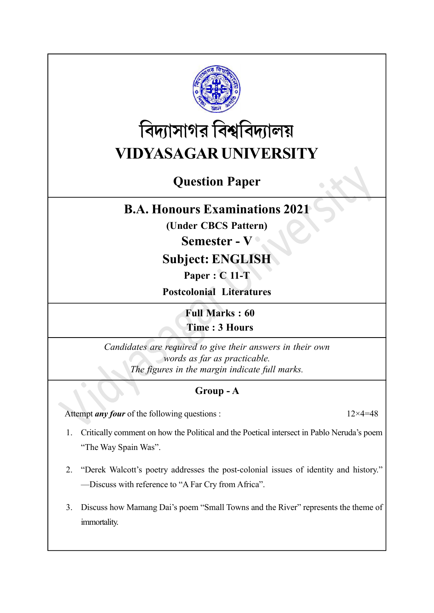

# বিদ্যাসাগর বিশ্ববিদ্যালয় VIDYASAGAR UNIVERSITY

## Question Paper

## B.A. Honours Examinations 2021

(Under CBCS Pattern)

### Semester - V ·

## Subject: ENGLISH

Paper : C 11-T

Postcolonial Literatures

Full Marks : 60 Time : 3 Hours

Candidates are required to give their answers in their own words as far as practicable. The figures in the margin indicate full marks.

#### Group - A

Attempt *any four* of the following questions :  $12 \times 4 = 48$ 

- 1. Critically comment on how the Political and the Poetical intersect in Pablo Neruda's poem "The Way Spain Was".
- 2. "Derek Walcott's poetry addresses the post-colonial issues of identity and history." —Discuss with reference to "A Far Cry from Africa".
- 3. Discuss how Mamang Dai's poem "Small Towns and the River" represents the theme of immortality.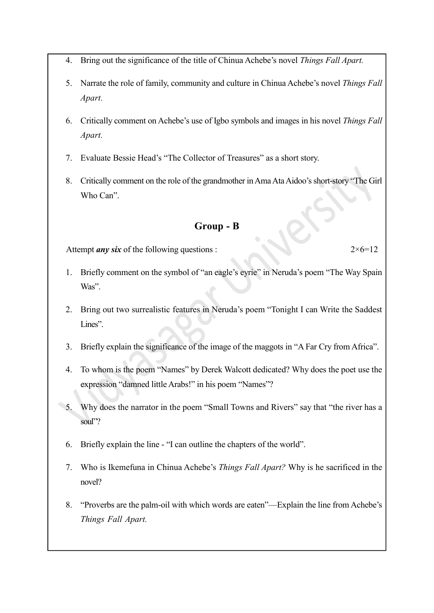- 4. Bring out the significance of the title of Chinua Achebe's novel Things Fall Apart.
- 5. Narrate the role of family, community and culture in Chinua Achebe's novel Things Fall Apart.
- 6. Critically comment on Achebe's use of Igbo symbols and images in his novel Things Fall Apart.
- 7. Evaluate Bessie Head's "The Collector of Treasures" as a short story.
- 8. Critically comment on the role of the grandmother in Ama Ata Aidoo's short-story "The Girl Who Can".

#### Group - B

Attempt *any six* of the following questions :  $2 \times 6 = 12$ 

- 1. Briefly comment on the symbol of "an eagle's eyrie" in Neruda's poem "The Way Spain Was".
- 2. Bring out two surrealistic features in Neruda's poem "Tonight I can Write the Saddest Lines".
- 3. Briefly explain the significance of the image of the maggots in "A Far Cry from Africa".
- 4. To whom is the poem "Names" by Derek Walcott dedicated? Why does the poet use the expression "damned little Arabs!" in his poem "Names"?
- 5. Why does the narrator in the poem "Small Towns and Rivers" say that "the river has a soul"?
- 6. Briefly explain the line "I can outline the chapters of the world".
- 7. Who is Ikemefuna in Chinua Achebe's Things Fall Apart? Why is he sacrificed in the novel?
- 8. "Proverbs are the palm-oil with which words are eaten"—Explain the line from Achebe's Things Fall Apart.